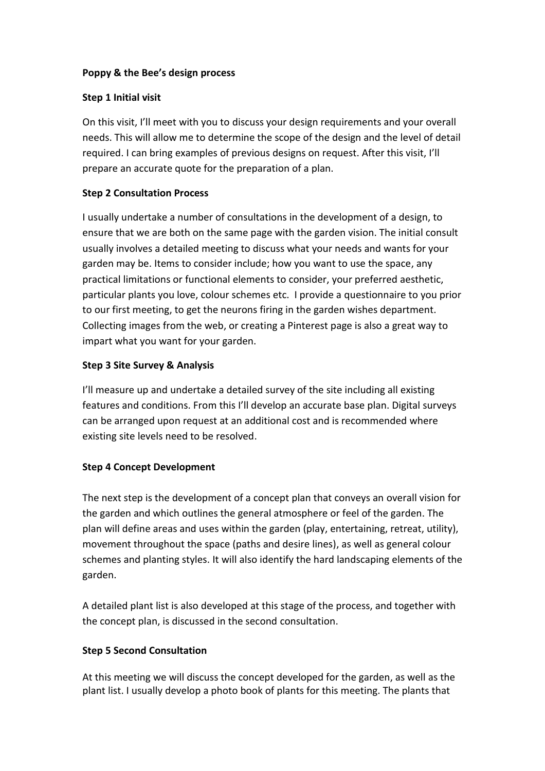# **Poppy & the Bee's design process**

## **Step 1 Initial visit**

On this visit, I'll meet with you to discuss your design requirements and your overall needs. This will allow me to determine the scope of the design and the level of detail required. I can bring examples of previous designs on request. After this visit, I'll prepare an accurate quote for the preparation of a plan.

## **Step 2 Consultation Process**

I usually undertake a number of consultations in the development of a design, to ensure that we are both on the same page with the garden vision. The initial consult usually involves a detailed meeting to discuss what your needs and wants for your garden may be. Items to consider include; how you want to use the space, any practical limitations or functional elements to consider, your preferred aesthetic, particular plants you love, colour schemes etc. I provide a questionnaire to you prior to our first meeting, to get the neurons firing in the garden wishes department. Collecting images from the web, or creating a Pinterest page is also a great way to impart what you want for your garden.

#### **Step 3 Site Survey & Analysis**

I'll measure up and undertake a detailed survey of the site including all existing features and conditions. From this I'll develop an accurate base plan. Digital surveys can be arranged upon request at an additional cost and is recommended where existing site levels need to be resolved.

# **Step 4 Concept Development**

The next step is the development of a concept plan that conveys an overall vision for the garden and which outlines the general atmosphere or feel of the garden. The plan will define areas and uses within the garden (play, entertaining, retreat, utility), movement throughout the space (paths and desire lines), as well as general colour schemes and planting styles. It will also identify the hard landscaping elements of the garden.

A detailed plant list is also developed at this stage of the process, and together with the concept plan, is discussed in the second consultation.

# **Step 5 Second Consultation**

At this meeting we will discuss the concept developed for the garden, as well as the plant list. I usually develop a photo book of plants for this meeting. The plants that